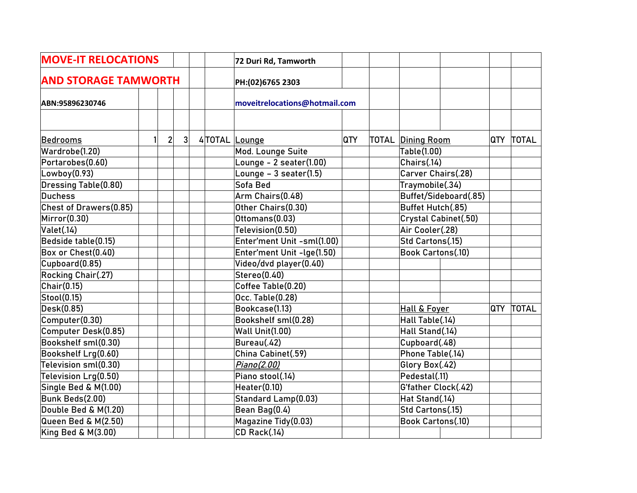| <b>MOVE-IT RELOCATIONS</b><br><b>AND STORAGE TAMWORTH</b> |  |                | 72 Duri Rd, Tamworth |                               |     |                          |  |            |              |
|-----------------------------------------------------------|--|----------------|----------------------|-------------------------------|-----|--------------------------|--|------------|--------------|
|                                                           |  |                |                      | PH:(02)6765 2303              |     |                          |  |            |              |
| ABN:95896230746                                           |  |                |                      | moveitrelocations@hotmail.com |     |                          |  |            |              |
|                                                           |  |                |                      |                               |     |                          |  |            |              |
| Bedrooms                                                  |  | $\overline{2}$ | 3 <sup>1</sup>       | 4 TOTAL Lounge                | QTY | <b>TOTAL Dining Room</b> |  | QTY        | <b>TOTAL</b> |
| Wardrobe(1.20)                                            |  |                |                      | Mod. Lounge Suite             |     | Table(1.00)              |  |            |              |
| Portarobes(0.60)                                          |  |                |                      | Lounge - 2 seater(1.00)       |     | Chairs(.14)              |  |            |              |
| Lowboy(0.93)                                              |  |                |                      | Lounge $-3$ seater(1.5)       |     | Carver Chairs(.28)       |  |            |              |
| <b>Dressing Table(0.80)</b>                               |  |                |                      | Sofa Bed                      |     | Traymobile(.34)          |  |            |              |
| <b>Duchess</b>                                            |  |                |                      | Arm Chairs(0.48)              |     | Buffet/Sideboard(.85)    |  |            |              |
| Chest of Drawers(0.85)                                    |  |                |                      | Other Chairs(0.30)            |     | Buffet Hutch(.85)        |  |            |              |
| Mirror(0.30)                                              |  |                |                      | Ottomans(0.03)                |     | Crystal Cabinet(.50)     |  |            |              |
| Valet(.14)                                                |  |                |                      | Television(0.50)              |     | Air Cooler(.28)          |  |            |              |
| Bedside table(0.15)                                       |  |                |                      | Enter'ment Unit -sml(1.00)    |     | Std Cartons(.15)         |  |            |              |
| Box or Chest(0.40)                                        |  |                |                      | Enter'ment Unit -lge(1.50)    |     | Book Cartons(.10)        |  |            |              |
| Cupboard(0.85)                                            |  |                |                      | Video/dvd player(0.40)        |     |                          |  |            |              |
| Rocking Chair(.27)                                        |  |                |                      | Stereo(0.40)                  |     |                          |  |            |              |
| Chi(0.15)                                                 |  |                |                      | Coffee Table(0.20)            |     |                          |  |            |              |
| Stool(0.15)                                               |  |                |                      | Occ. Table(0.28)              |     |                          |  |            |              |
| Desk(0.85)                                                |  |                |                      | Bookcase(1.13)                |     | <b>Hall &amp; Foyer</b>  |  | <b>QTY</b> | <b>TOTAL</b> |
| Computer(0.30)                                            |  |                |                      | Bookshelf sml(0.28)           |     | Hall Table(.14)          |  |            |              |
| Computer Desk(0.85)                                       |  |                |                      | <b>Wall Unit(1.00)</b>        |     | Hall Stand(.14)          |  |            |              |
| Bookshelf sml(0.30)                                       |  |                |                      | Bureau(.42)                   |     | Cupboard(.48)            |  |            |              |
| Bookshelf Lrg(0.60)                                       |  |                |                      | China Cabinet(.59)            |     | Phone Table(.14)         |  |            |              |
| Television sml(0.30)                                      |  |                |                      | Piano(2.00)                   |     | Glory Box(.42)           |  |            |              |
| Television Lrg(0.50)                                      |  |                |                      | Piano stool(.14)              |     | Pedestal(.11)            |  |            |              |
| Single Bed & M(1.00)                                      |  |                |                      | Heater(0.10)                  |     | G'father Clock(.42)      |  |            |              |
| Bunk Beds(2.00)                                           |  |                |                      | Standard Lamp(0.03)           |     | Hat Stand(.14)           |  |            |              |
| Double Bed & M(1.20)                                      |  |                |                      | Bean Bag(0.4)                 |     | Std Cartons(.15)         |  |            |              |
| Queen Bed & M(2.50)                                       |  |                |                      | Magazine Tidy(0.03)           |     | Book Cartons(.10)        |  |            |              |
| King Bed & M(3.00)                                        |  |                |                      | CD Rack(.14)                  |     |                          |  |            |              |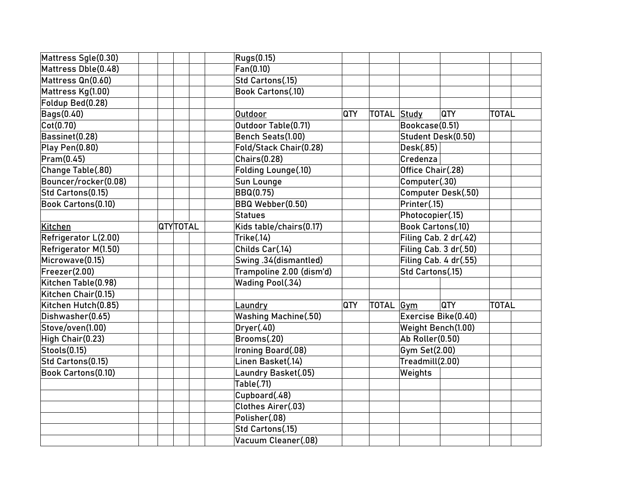| Mattress Sgle(0.30)       |          | <b>Rugs(0.15)</b>           |     |                  |                           |              |
|---------------------------|----------|-----------------------------|-----|------------------|---------------------------|--------------|
| Mattress Dble(0.48)       |          | Fan(0.10)                   |     |                  |                           |              |
| Mattress Qn(0.60)         |          | Std Cartons(.15)            |     |                  |                           |              |
| Mattress Kg(1.00)         |          | <b>Book Cartons(.10)</b>    |     |                  |                           |              |
| Foldup Bed(0.28)          |          |                             |     |                  |                           |              |
| <b>Bags(0.40)</b>         |          | Outdoor                     | QTY | TOTAL Study      | <b>QTY</b>                | <b>TOTAL</b> |
| $\vert$ Cot $(0.70)$      |          | Outdoor Table(0.71)         |     |                  | Bookcase(0.51)            |              |
| Bassinet(0.28)            |          | Bench Seats(1.00)           |     |                  | Student Desk(0.50)        |              |
| Play Pen(0.80)            |          | Fold/Stack Chair(0.28)      |     |                  | Desk(.85)                 |              |
| Pram(0.45)                |          | Chairs(0.28)                |     |                  | Credenza                  |              |
| Change Table(.80)         |          | Folding Lounge(.10)         |     |                  | Office Chair(.28)         |              |
| Bouncer/rocker(0.08)      |          | Sun Lounge                  |     |                  | Computer(.30)             |              |
| Std Cartons(0.15)         |          | <b>BBQ(0.75)</b>            |     |                  | <b>Computer Desk(.50)</b> |              |
| Book Cartons(0.10)        |          | BBQ Webber(0.50)            |     |                  | Printer(.15)              |              |
|                           |          | <b>Statues</b>              |     |                  | Photocopier(.15)          |              |
| Kitchen                   | QTYT0TAL | Kids table/chairs(0.17)     |     |                  | <b>Book Cartons(.10)</b>  |              |
| Refrigerator L(2.00)      |          | Trike(.14)                  |     |                  | Filing Cab. 2 dr(.42)     |              |
| Refrigerator M(1.50)      |          | Childs Car(.14)             |     |                  | Filing Cab. 3 dr(.50)     |              |
| Microwave(0.15)           |          | Swing .34(dismantled)       |     |                  | Filing Cab. 4 dr(.55)     |              |
| Freezer(2.00)             |          | Trampoline 2.00 (dism'd)    |     |                  | Std Cartons(.15)          |              |
| Kitchen Table(0.98)       |          | Wading Pool(.34)            |     |                  |                           |              |
| Kitchen Chair(0.15)       |          |                             |     |                  |                           |              |
| Kitchen Hutch(0.85)       |          | <u>Laundry</u>              | QTY | TOTAL <u>Gym</u> | <b>QTY</b>                | <b>TOTAL</b> |
| Dishwasher(0.65)          |          | <b>Washing Machine(.50)</b> |     |                  | Exercise Bike(0.40)       |              |
| Stove/oven(1.00)          |          | Dryer(.40)                  |     |                  | Weight Bench(1.00)        |              |
| High Chair(0.23)          |          | Brooms(.20)                 |     |                  | Ab Roller(0.50)           |              |
| Stools(0.15)              |          | Ironing Board(.08)          |     |                  | Gym Set(2.00)             |              |
| Std Cartons(0.15)         |          | Linen Basket(.14)           |     |                  | Treadmill(2.00)           |              |
| <b>Book Cartons(0.10)</b> |          | Laundry Basket(.05)         |     |                  | Weights                   |              |
|                           |          | Table(.71)                  |     |                  |                           |              |
|                           |          | Cupboard(.48)               |     |                  |                           |              |
|                           |          | Clothes Airer(.03)          |     |                  |                           |              |
|                           |          | Polisher(.08)               |     |                  |                           |              |
|                           |          | Std Cartons(.15)            |     |                  |                           |              |
|                           |          | Vacuum Cleaner(.08)         |     |                  |                           |              |